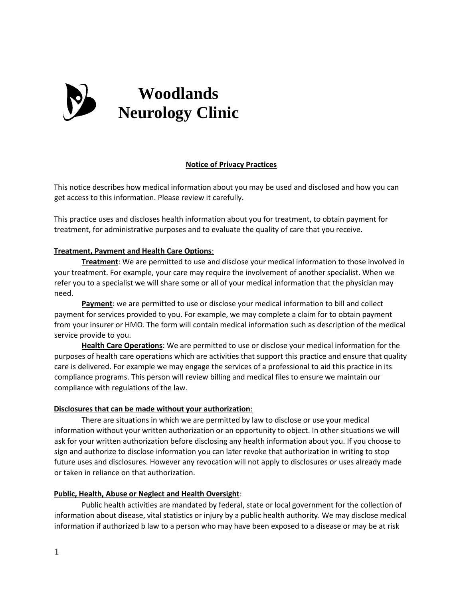

### **Notice of Privacy Practices**

This notice describes how medical information about you may be used and disclosed and how you can get access to this information. Please review it carefully.

This practice uses and discloses health information about you for treatment, to obtain payment for treatment, for administrative purposes and to evaluate the quality of care that you receive.

## **Treatment, Payment and Health Care Options**:

**Treatment**: We are permitted to use and disclose your medical information to those involved in your treatment. For example, your care may require the involvement of another specialist. When we refer you to a specialist we will share some or all of your medical information that the physician may need.

**Payment**: we are permitted to use or disclose your medical information to bill and collect payment for services provided to you. For example, we may complete a claim for to obtain payment from your insurer or HMO. The form will contain medical information such as description of the medical service provide to you.

**Health Care Operations**: We are permitted to use or disclose your medical information for the purposes of health care operations which are activities that support this practice and ensure that quality care is delivered. For example we may engage the services of a professional to aid this practice in its compliance programs. This person will review billing and medical files to ensure we maintain our compliance with regulations of the law.

### **Disclosures that can be made without your authorization**:

There are situations in which we are permitted by law to disclose or use your medical information without your written authorization or an opportunity to object. In other situations we will ask for your written authorization before disclosing any health information about you. If you choose to sign and authorize to disclose information you can later revoke that authorization in writing to stop future uses and disclosures. However any revocation will not apply to disclosures or uses already made or taken in reliance on that authorization.

### **Public, Health, Abuse or Neglect and Health Oversight**:

Public health activities are mandated by federal, state or local government for the collection of information about disease, vital statistics or injury by a public health authority. We may disclose medical information if authorized b law to a person who may have been exposed to a disease or may be at risk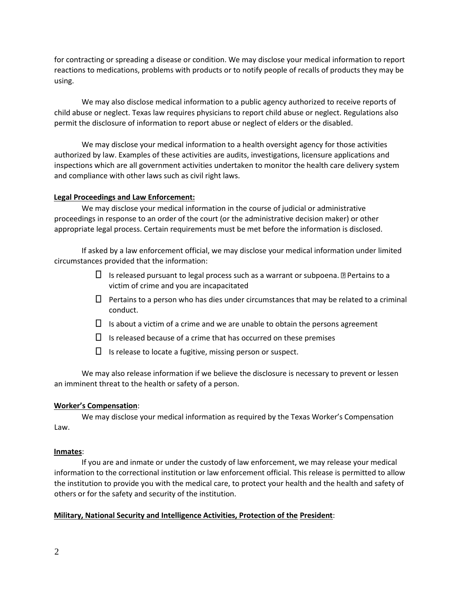for contracting or spreading a disease or condition. We may disclose your medical information to report reactions to medications, problems with products or to notify people of recalls of products they may be using.

We may also disclose medical information to a public agency authorized to receive reports of child abuse or neglect. Texas law requires physicians to report child abuse or neglect. Regulations also permit the disclosure of information to report abuse or neglect of elders or the disabled.

We may disclose your medical information to a health oversight agency for those activities authorized by law. Examples of these activities are audits, investigations, licensure applications and inspections which are all government activities undertaken to monitor the health care delivery system and compliance with other laws such as civil right laws.

# **Legal Proceedings and Law Enforcement:**

We may disclose your medical information in the course of judicial or administrative proceedings in response to an order of the court (or the administrative decision maker) or other appropriate legal process. Certain requirements must be met before the information is disclosed.

If asked by a law enforcement official, we may disclose your medical information under limited circumstances provided that the information:

- $\Box$  Is released pursuant to legal process such as a warrant or subpoena. **Pertains to a** victim of crime and you are incapacitated
- $\Box$  Pertains to a person who has dies under circumstances that may be related to a criminal conduct.
- $\Box$  Is about a victim of a crime and we are unable to obtain the persons agreement
- $\Box$  Is released because of a crime that has occurred on these premises
- $\Box$  Is release to locate a fugitive, missing person or suspect.

We may also release information if we believe the disclosure is necessary to prevent or lessen an imminent threat to the health or safety of a person.

# **Worker's Compensation**:

We may disclose your medical information as required by the Texas Worker's Compensation Law.

# **Inmates**:

If you are and inmate or under the custody of law enforcement, we may release your medical information to the correctional institution or law enforcement official. This release is permitted to allow the institution to provide you with the medical care, to protect your health and the health and safety of others or for the safety and security of the institution.

# **Military, National Security and Intelligence Activities, Protection of the President**: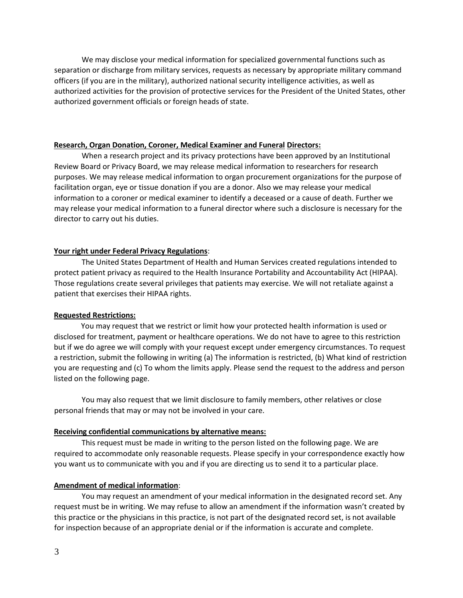We may disclose your medical information for specialized governmental functions such as separation or discharge from military services, requests as necessary by appropriate military command officers (if you are in the military), authorized national security intelligence activities, as well as authorized activities for the provision of protective services for the President of the United States, other authorized government officials or foreign heads of state.

#### **Research, Organ Donation, Coroner, Medical Examiner and Funeral Directors:**

When a research project and its privacy protections have been approved by an Institutional Review Board or Privacy Board, we may release medical information to researchers for research purposes. We may release medical information to organ procurement organizations for the purpose of facilitation organ, eye or tissue donation if you are a donor. Also we may release your medical information to a coroner or medical examiner to identify a deceased or a cause of death. Further we may release your medical information to a funeral director where such a disclosure is necessary for the director to carry out his duties.

#### **Your right under Federal Privacy Regulations**:

The United States Department of Health and Human Services created regulations intended to protect patient privacy as required to the Health Insurance Portability and Accountability Act (HIPAA). Those regulations create several privileges that patients may exercise. We will not retaliate against a patient that exercises their HIPAA rights.

#### **Requested Restrictions:**

You may request that we restrict or limit how your protected health information is used or disclosed for treatment, payment or healthcare operations. We do not have to agree to this restriction but if we do agree we will comply with your request except under emergency circumstances. To request a restriction, submit the following in writing (a) The information is restricted, (b) What kind of restriction you are requesting and (c) To whom the limits apply. Please send the request to the address and person listed on the following page.

You may also request that we limit disclosure to family members, other relatives or close personal friends that may or may not be involved in your care.

### **Receiving confidential communications by alternative means:**

This request must be made in writing to the person listed on the following page. We are required to accommodate only reasonable requests. Please specify in your correspondence exactly how you want us to communicate with you and if you are directing us to send it to a particular place.

### **Amendment of medical information**:

You may request an amendment of your medical information in the designated record set. Any request must be in writing. We may refuse to allow an amendment if the information wasn't created by this practice or the physicians in this practice, is not part of the designated record set, is not available for inspection because of an appropriate denial or if the information is accurate and complete.